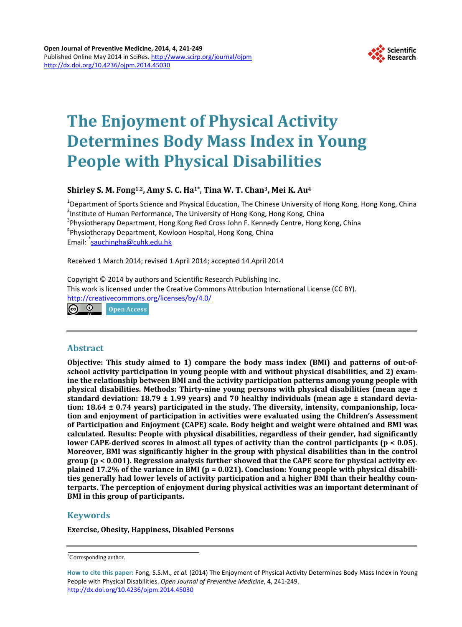

# **The Enjoyment of Physical Activity Determines Body Mass Index in Young People with Physical Disabilities**

# **Shirley S. M. Fong1,2, Amy S. C. Ha1\*, Tina W. T. Chan3, Mei K. Au4**

<sup>1</sup>Department of Sports Science and Physical Education, The Chinese University of Hong Kong, Hong Kong, China<br><sup>2</sup>Institute of Human Berformance, The University of Hong Kong, Hong Kong, China <sup>2</sup>Institute of Human Performance, The University of Hong Kong, Hong Kong, China  $3$ Physiotherapy Department, Hong Kong Red Cross John F. Kennedy Centre, Hong Kong, China Physiotherapy Department, Kowloon Hospital, Hong Kong, China Email: <sup>\*</sup>[sauchingha@cuhk.edu.hk](mailto:sauchingha@cuhk.edu.hk)

Received 1 March 2014; revised 1 April 2014; accepted 14 April 2014

Copyright © 2014 by authors and Scientific Research Publishing Inc. This work is licensed under the Creative Commons Attribution International License (CC BY). <http://creativecommons.org/licenses/by/4.0/> Open Access

## **Abstract**

**Objective: This study aimed to 1) compare the body mass index (BMI) and patterns of out-ofschool activity participation in young people with and without physical disabilities, and 2) examine the relationship between BMI and the activity participation patterns among young people with physical disabilities. Methods: Thirty-nine young persons with physical disabilities (mean age ± standard deviation: 18.79 ± 1.99 years) and 70 healthy individuals (mean age ± standard deviation: 18.64 ± 0.74 years) participated in the study. The diversity, intensity, companionship, location and enjoyment of participation in activities were evaluated using the Children's Assessment of Participation and Enjoyment (CAPE) scale. Body height and weight were obtained and BMI was calculated. Results: People with physical disabilities, regardless of their gender, had significantly lower CAPE-derived scores in almost all types of activity than the control participants (p < 0.05). Moreover, BMI was significantly higher in the group with physical disabilities than in the control group (p < 0.001). Regression analysis further showed that the CAPE score for physical activity explained 17.2% of the variance in BMI (p = 0.021). Conclusion: Young people with physical disabilities generally had lower levels of activity participation and a higher BMI than their healthy counterparts. The perception of enjoyment during physical activities was an important determinant of BMI in this group of participants.**

# **Keywords**

**Exercise, Obesity, Happiness, Disabled Persons**

<sup>\*</sup> Corresponding author.

**How to cite this paper:** Fong, S.S.M., *et al.* (2014) The Enjoyment of Physical Activity Determines Body Mass Index in Young People with Physical Disabilities. *Open Journal of Preventive Medicine*, **4**, 241-249. <http://dx.doi.org/10.4236/ojpm.2014.45030>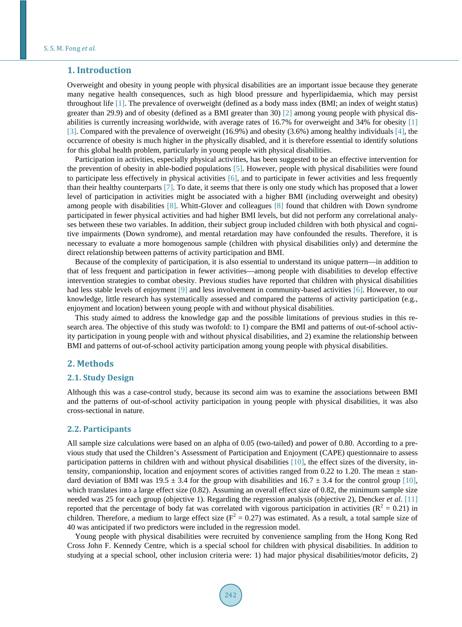#### **1. Introduction**

Overweight and obesity in young people with physical disabilities are an important issue because they generate many negative health consequences, such as high blood pressure and hyperlipidaemia, which may persist throughout life [\[1\].](#page-7-0) The prevalence of overweight (defined as a body mass index (BMI; an index of weight status) greater than 29.9) and of obesity (defined as a BMI greater than 30) [\[2\]](#page-7-1) among young people with physical disabilities is currently increasing worldwide, with average rates of 16.7% for overweight and 34% for obesity [\[1\]](#page-7-0) [\[3\].](#page-7-2) Compared with the prevalence of overweight (16.9%) and obesity (3.6%) among healthy individual[s \[4\],](#page-7-3) the occurrence of obesity is much higher in the physically disabled, and it is therefore essential to identify solutions for this global health problem, particularly in young people with physical disabilities.

Participation in activities, especially physical activities, has been suggested to be an effective intervention for the prevention of obesity in able-bodied populations [\[5\].](#page-7-4) However, people with physical disabilities were found to participate less effectively in physical activities  $[6]$ , and to participate in fewer activities and less frequently than their healthy counterparts [\[7\].](#page-7-6) To date, it seems that there is only one study which has proposed that a lower level of participation in activities might be associated with a higher BMI (including overweight and obesity) among people with dis[abili](#page-7-7)ties [8]. Whitt-Glover and co[lleag](#page-7-7)ues [8] found that children with Down syndrome participated in fewer physical activities and had higher BMI levels, but did not perform any correlational analyses between these two variables. In addition, their subject group included children with both physical and cognitive impairments (Down syndrome), and mental retardation may have confounded the results. Therefore, it is necessary to evaluate a more homogenous sample (children with physical disabilities only) and determine the direct relationship between patterns of activity participation and BMI.

Because of the complexity of participation, it is also essential to understand its unique pattern—in addition to that of less frequent and participation in fewer activities—among people with disabilities to develop effective intervention strategies to combat obesity. Previous studies have reported that children with physical disabilities had less stable levels of enjoyment [\[9\]](#page-7-8) and less involvement in community-based activities [\[6\].](#page-7-5) However, to our knowledge, little research has systematically assessed and compared the patterns of activity participation (e.g., enjoyment and location) between young people with and without physical disabilities.

This study aimed to address the knowledge gap and the possible limitations of previous studies in this research area. The objective of this study was twofold: to 1) compare the BMI and patterns of out-of-school activity participation in young people with and without physical disabilities, and 2) examine the relationship between BMI and patterns of out-of-school activity participation among young people with physical disabilities.

## **2. Methods**

#### **2.1. Study Design**

Although this was a case-control study, because its second aim was to examine the associations between BMI and the patterns of out-of-school activity participation in young people with physical disabilities, it was also cross-sectional in nature.

#### **2.2. Participants**

All sample size calculations were based on an alpha of 0.05 (two-tailed) and power of 0.80. According to a previous study that used the Children's Assessment of Participation and Enjoyment (CAPE) questionnaire to assess participation patterns in children with and without physical disabilities [\[10\],](#page-7-9) the effect sizes of the diversity, intensity, companionship, location and enjoyment scores of activities ranged from 0.22 to 1.20. The mean  $\pm$  standard deviation of BMI was  $19.5 \pm 3.4$  for the group with disabilities and  $16.7 \pm 3.4$  for the control group [\[10\],](#page-7-9) which translates into a large effect size (0.82). Assuming an overall effect size of 0.82, the minimum sample size needed was 25 for each group (objective 1). Regarding the regression analysis (objective 2), Dencker *et al.* [\[11\]](#page-7-10) reported that the percentage of body fat was correlated with vigorous participation in activities ( $\mathbb{R}^2 = 0.21$ ) in children. Therefore, a medium to large effect size ( $F^2 = 0.27$ ) was estimated. As a result, a total sample size of 40 was anticipated if two predictors were included in the regression model.

Young people with physical disabilities were recruited by convenience sampling from the Hong Kong Red Cross John F. Kennedy Centre, which is a special school for children with physical disabilities. In addition to studying at a special school, other inclusion criteria were: 1) had major physical disabilities/motor deficits, 2)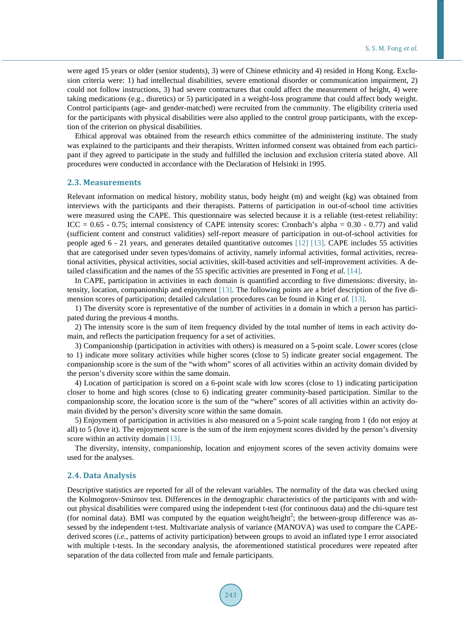were aged 15 years or older (senior students), 3) were of Chinese ethnicity and 4) resided in Hong Kong. Exclusion criteria were: 1) had intellectual disabilities, severe emotional disorder or communication impairment, 2) could not follow instructions, 3) had severe contractures that could affect the measurement of height, 4) were taking medications (e.g., diuretics) or 5) participated in a weight-loss programme that could affect body weight. Control participants (age- and gender-matched) were recruited from the community. The eligibility criteria used for the participants with physical disabilities were also applied to the control group participants, with the exception of the criterion on physical disabilities.

Ethical approval was obtained from the research ethics committee of the administering institute. The study was explained to the participants and their therapists. Written informed consent was obtained from each participant if they agreed to participate in the study and fulfilled the inclusion and exclusion criteria stated above. All procedures were conducted in accordance with the Declaration of Helsinki in 1995.

#### **2.3. Measurements**

Relevant information on medical history, mobility status, body height (m) and weight (kg) was obtained from interviews with the participants and their therapists. Patterns of participation in out-of-school time activities were measured using the CAPE. This questionnaire was selected because it is a reliable (test-retest reliability: ICC =  $0.65 - 0.75$ ; internal consistency of CAPE intensity scores: Cronbach's alpha =  $0.30 - 0.77$ ) and valid (sufficient content and construct validities) self-report measure of participation in out-of-school activities for people aged 6 - 21 years, and generates detailed quantitative outcomes [\[12\]](#page-7-11) [\[13\].](#page-7-12) CAPE includes 55 activities that are categorised under seven types/domains of activity, namely informal activities, formal activities, recreational activities, physical activities, social activities, skill-based activities and self-improvement activities. A detailed classification and the names of the 55 specific activities are presented in Fong *et al.* [\[14\].](#page-8-0)

In CAPE, participation in activities in each domain is quantified according to five dimensions: diversity, intensity, location, companionship and enjoyment [\[13\].](#page-7-12) The following points are a brief description of the five dimension scores of participation; detailed calculation procedures can be found in King *et al.* [\[13\].](#page-7-12)

1) The diversity score is representative of the number of activities in a domain in which a person has participated during the previous 4 months.

2) The intensity score is the sum of item frequency divided by the total number of items in each activity domain, and reflects the participation frequency for a set of activities.

3) Companionship (participation in activities with others) is measured on a 5-point scale. Lower scores (close to 1) indicate more solitary activities while higher scores (close to 5) indicate greater social engagement. The companionship score is the sum of the "with whom" scores of all activities within an activity domain divided by the person's diversity score within the same domain.

4) Location of participation is scored on a 6-point scale with low scores (close to 1) indicating participation closer to home and high scores (close to 6) indicating greater community-based participation. Similar to the companionship score, the location score is the sum of the "where" scores of all activities within an activity domain divided by the person's diversity score within the same domain.

5) Enjoyment of participation in activities is also measured on a 5-point scale ranging from 1 (do not enjoy at all) to 5 (love it). The enjoyment score is the sum of the item enjoyment scores divided by the person's diversity score within an activity domain [\[13\].](#page-7-12)

The diversity, intensity, companionship, location and enjoyment scores of the seven activity domains were used for the analyses.

#### **2.4. Data Analysis**

Descriptive statistics are reported for all of the relevant variables. The normality of the data was checked using the Kolmogorov-Smirnov test. Differences in the demographic characteristics of the participants with and without physical disabilities were compared using the independent t-test (for continuous data) and the chi-square test (for nominal data). BMI was computed by the equation weight/height<sup>2</sup>; the between-group difference was assessed by the independent t-test. Multivariate analysis of variance (MANOVA) was used to compare the CAPEderived scores (*i.e.*, patterns of activity participation) between groups to avoid an inflated type I error associated with multiple t-tests. In the secondary analysis, the aforementioned statistical procedures were repeated after separation of the data collected from male and female participants.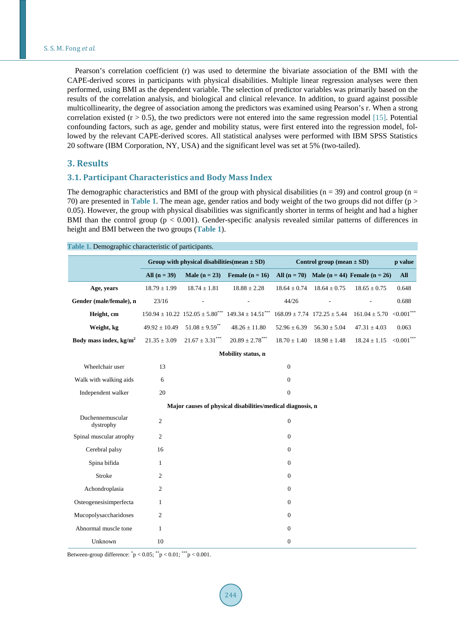Pearson's correlation coefficient (r) was used to determine the bivariate association of the BMI with the CAPE-derived scores in participants with physical disabilities. Multiple linear regression analyses were then performed, using BMI as the dependent variable. The selection of predictor variables was primarily based on the results of the correlation analysis, and biological and clinical relevance. In addition, to guard against possible multicollinearity, the degree of association among the predictors was examined using Pearson's r. When a strong correlation existed ( $r > 0.5$ ), the two predictors were not entered into the same regression model [\[15\].](#page-8-1) Potential confounding factors, such as age, gender and mobility status, were first entered into the regression model, followed by the relevant CAPE-derived scores. All statistical analyses were performed with IBM SPSS Statistics 20 software (IBM Corporation, NY, USA) and the significant level was set at 5% (two-tailed).

## **3. Results**

#### **3.1. Participant Characteristics and Body Mass Index**

The demographic characteristics and BMI of the group with physical disabilities ( $n = 39$ ) and control group ( $n =$ 70) are presented in **[Table 1](#page-3-0)**. The mean age, gender ratios and body weight of the two groups did not differ (p > 0.05). However, the group with physical disabilities was significantly shorter in terms of height and had a higher BMI than the control group (p < 0.001). Gender-specific analysis revealed similar patterns of differences in height and BMI between the two groups (**[Table](#page-3-0) 1**).

|                               | Group with physical disabilities (mean $\pm$ SD) |                                            |                                                            | Control group (mean $\pm$ SD) | p value                             |                                                  |                  |
|-------------------------------|--------------------------------------------------|--------------------------------------------|------------------------------------------------------------|-------------------------------|-------------------------------------|--------------------------------------------------|------------------|
|                               | All $(n = 39)$                                   | Male $(n = 23)$                            | Female $(n = 16)$                                          |                               |                                     | All $(n = 70)$ Male $(n = 44)$ Female $(n = 26)$ | All              |
| Age, years                    | $18.79 \pm 1.99$                                 | $18.74 \pm 1.81$                           | $18.88\pm2.28$                                             | $18.64 \pm 0.74$              | $18.64 \pm 0.75$                    | $18.65 \pm 0.75$                                 | 0.648            |
| Gender (male/female), n       | 23/16                                            |                                            |                                                            | 44/26                         |                                     |                                                  | 0.688            |
| Height, cm                    |                                                  | $150.94 \pm 10.22$ $152.05 \pm 5.80^{***}$ | $149.34 \pm 14.51***$                                      |                               | $168.09 \pm 7.74$ $172.25 \pm 5.44$ | $161.04 \pm 5.70$                                | ${<}0.001$ ***   |
| Weight, kg                    | $49.92 \pm 10.49$                                | $51.08 \pm 9.59$ **                        | $48.26 \pm 11.80$                                          | $52.96 \pm 6.39$              | $56.30 \pm 5.04$                    | $47.31 \pm 4.03$                                 | 0.063            |
| Body mass index, $kg/m2$      | $21.35 \pm 3.09$                                 | $21.67 \pm 3.31***$                        | $20.89 \pm 2.78***$                                        |                               | $18.70 \pm 1.40$ $18.98 \pm 1.48$   | $18.24 \pm 1.15$                                 | ${<}0.001^{***}$ |
|                               |                                                  |                                            | Mobility status, n                                         |                               |                                     |                                                  |                  |
| Wheelchair user               | 13                                               |                                            |                                                            | $\mathbf{0}$                  |                                     |                                                  |                  |
| Walk with walking aids        | 6                                                |                                            |                                                            | $\mathbf{0}$                  |                                     |                                                  |                  |
| Independent walker            | 20                                               |                                            |                                                            | $\mathbf{0}$                  |                                     |                                                  |                  |
|                               |                                                  |                                            | Major causes of physical disabilities/medical diagnosis, n |                               |                                     |                                                  |                  |
| Duchennemuscular<br>dystrophy | $\overline{c}$                                   |                                            |                                                            | $\boldsymbol{0}$              |                                     |                                                  |                  |
| Spinal muscular atrophy       | 2                                                |                                            |                                                            | $\boldsymbol{0}$              |                                     |                                                  |                  |
| Cerebral palsy                | 16                                               |                                            |                                                            | $\boldsymbol{0}$              |                                     |                                                  |                  |
| Spina bifida                  | $\mathbf{1}$                                     |                                            |                                                            | $\boldsymbol{0}$              |                                     |                                                  |                  |
| Stroke                        | 2                                                |                                            |                                                            | $\mathbf{0}$                  |                                     |                                                  |                  |
| Achondroplasia                | 2                                                |                                            |                                                            | $\boldsymbol{0}$              |                                     |                                                  |                  |
| Osteogenesisimperfecta        | $\mathbf{1}$                                     |                                            |                                                            | $\boldsymbol{0}$              |                                     |                                                  |                  |
| Mucopolysaccharidoses         | 2                                                |                                            |                                                            | $\mathbf{0}$                  |                                     |                                                  |                  |
| Abnormal muscle tone          | $\mathbf{1}$                                     |                                            |                                                            | $\boldsymbol{0}$              |                                     |                                                  |                  |
| Unknown                       | 10                                               |                                            |                                                            | $\boldsymbol{0}$              |                                     |                                                  |                  |

<span id="page-3-0"></span>**Table 1.** Demographic characteristic of participants.

Between-group difference:  $^{*}p < 0.05$ ;  $^{**}p < 0.01$ ;  $^{***}p < 0.001$ .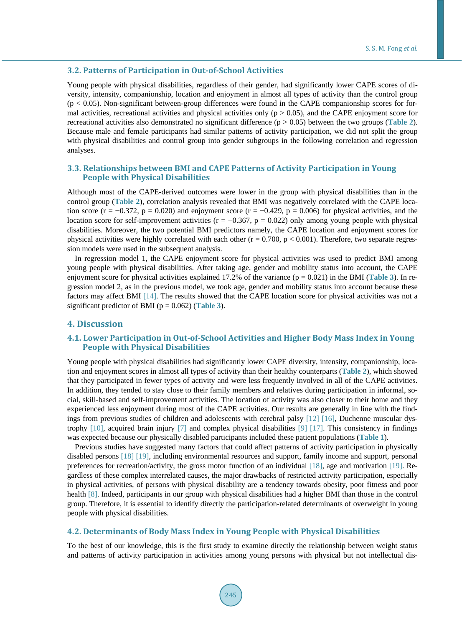#### **3.2. Patterns of Participation in Out-of-School Activities**

Young people with physical disabilities, regardless of their gender, had significantly lower CAPE scores of diversity, intensity, companionship, location and enjoyment in almost all types of activity than the control group  $(p < 0.05)$ . Non-significant between-group differences were found in the CAPE companionship scores for formal activities, recreational activities and physical activities only ( $p > 0.05$ ), and the CAPE enjoyment score for recreational activities also demonstrated no significant difference (p > 0.05) between the two groups (**[Table 2](#page-5-0)**). Because male and female participants had similar patterns of activity participation, we did not split the group with physical disabilities and control group into gender subgroups in the following correlation and regression analyses.

## **3.3. Relationships between BMI and CAPE Patterns of Activity Participation in Young People with Physical Disabilities**

Although most of the CAPE-derived outcomes were lower in the group with physical disabilities than in the control group (**[Table 2](#page-5-0)**), correlation analysis revealed that BMI was negatively correlated with the CAPE location score (r = −0.372, p = 0.020) and enjoyment score (r = −0.429, p = 0.006) for physical activities, and the location score for self-improvement activities ( $r = -0.367$ ,  $p = 0.022$ ) only among young people with physical disabilities. Moreover, the two potential BMI predictors namely, the CAPE location and enjoyment scores for physical activities were highly correlated with each other  $(r = 0.700, p < 0.001)$ . Therefore, two separate regression models were used in the subsequent analysis.

In regression model 1, the CAPE enjoyment score for physical activities was used to predict BMI among young people with physical disabilities. After taking age, gender and mobility status into account, the CAPE enjoyment score for physical activities explained 17.2% of the variance (p = 0.021) in the BMI (**[Table 3](#page-6-0)**). In regression model 2, as in the previous model, we took age, gender and mobility status into account because these factors may affect BMI [\[14\].](#page-8-0) The results showed that the CAPE location score for physical activities was not a significant predictor of BMI ( $p = 0.062$ ) (**[Table 3](#page-6-0)**).

## **4. Discussion**

## **4.1. Lower Participation in Out-of-School Activities and Higher Body Mass Index in Young People with Physical Disabilities**

Young people with physical disabilities had significantly lower CAPE diversity, intensity, companionship, location and enjoyment scores in almost all types of activity than their healthy counterparts (**[Table 2](#page-5-0)**), which showed that they participated in fewer types of activity and were less frequently involved in all of the CAPE activities. In addition, they tended to stay close to their family members and relatives during participation in informal, social, skill-based and self-improvement activities. The location of activity was also closer to their home and they experienced less enjoyment during most of the CAPE activities. Our results are generally in line with the findings from previous studies of children and adolescents with cerebral palsy [\[12\]](#page-7-11) [\[16\],](#page-8-2) Duchenne muscular dystrophy [\[10\],](#page-7-9) acquired brain injury [\[7\]](#page-7-6) and complex physical disabilities [\[9\]](#page-7-8) [\[17\].](#page-8-3) This consistency in findings was expected because our physically disabled participants included these patient populations (**[Table 1](#page-3-0)**).

Previous studies have suggested many factors that could affect patterns of activity participation in physically disabled persons [\[18\]](#page-8-4) [\[19\],](#page-8-5) including environmental resources and support, family income and support, personal preferences for recreation/activity, the gross motor function of an individual [\[18\],](#page-8-4) age and motivation [\[19\].](#page-8-5) Regardless of these complex interrelated causes, the major drawbacks of restricted activity participation, especially in physical activities, of persons with physical disability are a tendency towards obesity, poor fitness and poor health [\[8\].](#page-7-7) Indeed, participants in our group with physical disabilities had a higher BMI than those in the control group. Therefore, it is essential to identify directly the participation-related determinants of overweight in young people with physical disabilities.

#### **4.2. Determinants of Body Mass Index in Young People with Physical Disabilities**

To the best of our knowledge, this is the first study to examine directly the relationship between weight status and patterns of activity participation in activities among young persons with physical but not intellectual dis-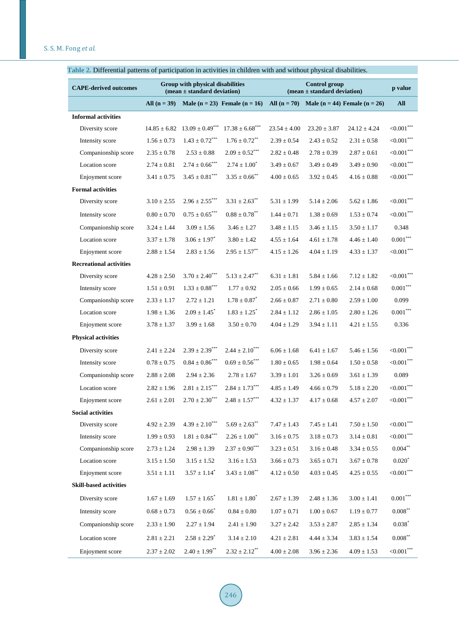| <b>CAPE-derived outcomes</b>   | Group with physical disabilities<br>$(mean \pm standard deviation)$ |                              |                                   | <b>Control group</b><br>$(mean \pm standard deviation)$ |                  |                                       | p value                   |
|--------------------------------|---------------------------------------------------------------------|------------------------------|-----------------------------------|---------------------------------------------------------|------------------|---------------------------------------|---------------------------|
|                                | All $(n = 39)$                                                      |                              | Male $(n = 23)$ Female $(n = 16)$ | All $(n = 70)$                                          |                  | Male ( $n = 44$ ) Female ( $n = 26$ ) | <b>All</b>                |
| <b>Informal activities</b>     |                                                                     |                              |                                   |                                                         |                  |                                       |                           |
| Diversity score                | $14.85 \pm 6.82$                                                    | $13.09 \pm 0.49***$          | $17.38 \pm 6.68***$               | $23.54 \pm 4.00$                                        | $23.20 \pm 3.87$ | $24.12 \pm 4.24$                      | ${<}0.001$ ***            |
| Intensity score                | $1.56 \pm 0.73$                                                     | $1.43 \pm 0.72***$           | $1.76 \pm 0.72$ <sup>**</sup>     | $2.39 \pm 0.54$                                         | $2.43 \pm 0.52$  | $2.31 \pm 0.58$                       | ${<}0.001$ ***            |
| Companionship score            | $2.35 \pm 0.78$                                                     | $2.53 \pm 0.88$              | $2.09 \pm 0.52$ <sup>***</sup>    | $2.82 \pm 0.48$                                         | $2.78 \pm 0.39$  | $2.87 \pm 0.61$                       | ${<}0.001^{***}$          |
| Location score                 | $2.74 \pm 0.81$                                                     | $2.74 \pm 0.66^{***}$        | $2.74 \pm 1.00^*$                 | $3.49 \pm 0.67$                                         | $3.49 \pm 0.49$  | $3.49 \pm 0.90$                       | ${<}0.001$ ***            |
| Enjoyment score                | $3.41 \pm 0.75$                                                     | $3.45\pm0.81^{\ast\ast\ast}$ | $3.35 \pm 0.66$ <sup>**</sup>     | $4.00 \pm 0.65$                                         | $3.92 \pm 0.45$  | $4.16 \pm 0.88$                       | ${<}0.001^{***}$          |
| <b>Formal activities</b>       |                                                                     |                              |                                   |                                                         |                  |                                       |                           |
| Diversity score                | $3.10 \pm 2.55$                                                     | $2.96 \pm 2.55***$           | $3.31 \pm 2.63^{**}$              | $5.31 \pm 1.99$                                         | $5.14 \pm 2.06$  | $5.62 \pm 1.86$                       | ${<}0.001$ ***            |
| Intensity score                | $0.80 \pm 0.70$                                                     | $0.75 \pm 0.65$ ***          | $0.88 \pm 0.78$ <sup>**</sup>     | $1.44 \pm 0.71$                                         | $1.38 \pm 0.69$  | $1.53 \pm 0.74$                       | ${<}0.001$ ***            |
| Companionship score            | $3.24 \pm 1.44$                                                     | $3.09 \pm 1.56$              | $3.46 \pm 1.27$                   | $3.48 \pm 1.15$                                         | $3.46 \pm 1.15$  | $3.50 \pm 1.17$                       | 0.348                     |
| Location score                 | $3.37 \pm 1.78$                                                     | $3.06 \pm 1.97$              | $3.80 \pm 1.42$                   | $4.55 \pm 1.64$                                         | $4.61 \pm 1.78$  | $4.46 \pm 1.40$                       | $0.001^{\ast\ast\ast}$    |
| Enjoyment score                | $2.88 \pm 1.54$                                                     | $2.83 \pm 1.56$              | $2.95\pm1.57^{**}$                | $4.15 \pm 1.26$                                         | $4.04 \pm 1.19$  | $4.33 \pm 1.37$                       | ${<}0.001^{***}$          |
| <b>Recreational activities</b> |                                                                     |                              |                                   |                                                         |                  |                                       |                           |
| Diversity score                | $4.28 \pm 2.50$                                                     | $3.70 \pm 2.40^{***}$        | $5.13 \pm 2.47$ <sup>**</sup>     | $6.31 \pm 1.81$                                         | $5.84 \pm 1.66$  | $7.12 \pm 1.82$                       | ${<}0.001$ ***            |
| Intensity score                | $1.51 \pm 0.91$                                                     | $1.33 \pm 0.88$ ***          | $1.77 \pm 0.92$                   | $2.05 \pm 0.66$                                         | $1.99 \pm 0.65$  | $2.14 \pm 0.68$                       | $0.001***$                |
| Companionship score            | $2.33 \pm 1.17$                                                     | $2.72 \pm 1.21$              | $1.78 \pm 0.87^*$                 | $2.66 \pm 0.87$                                         | $2.71 \pm 0.80$  | $2.59 \pm 1.00$                       | 0.099                     |
| Location score                 | $1.98 \pm 1.36$                                                     | $2.09 \pm 1.45$ <sup>*</sup> | $1.83 \pm 1.25$ <sup>*</sup>      | $2.84 \pm 1.12$                                         | $2.86 \pm 1.05$  | $2.80 \pm 1.26$                       | $0.001^{\ast\ast\ast}$    |
| Enjoyment score                | $3.78 \pm 1.37$                                                     | $3.99 \pm 1.68$              | $3.50 \pm 0.70$                   | $4.04 \pm 1.29$                                         | $3.94 \pm 1.11$  | $4.21 \pm 1.55$                       | 0.336                     |
| <b>Physical activities</b>     |                                                                     |                              |                                   |                                                         |                  |                                       |                           |
| Diversity score                | $2.41 \pm 2.24$                                                     | $2.39 \pm 2.39***$           | $2.44 \pm 2.10$ <sup>***</sup>    | $6.06 \pm 1.68$                                         | $6.41 \pm 1.67$  | $5.46 \pm 1.56$                       | ${<}0.001$ ***            |
| Intensity score                | $0.78 \pm 0.75$                                                     | $0.84 \pm 0.86$ ***          | $0.69 \pm 0.56$ ***               | $1.80 \pm 0.65$                                         | $1.98 \pm 0.64$  | $1.50 \pm 0.58$                       | ${<}0.001$ ***            |
| Companionship score            | $2.88 \pm 2.08$                                                     | $2.94 \pm 2.36$              | $2.78\pm1.67$                     | $3.39 \pm 1.01$                                         | $3.26 \pm 0.69$  | $3.61 \pm 1.39$                       | 0.089                     |
| Location score                 | $2.82 \pm 1.96$                                                     | $2.81 \pm 2.15^{***}$        | $2.84 \pm 1.73^{***}$             | $4.85 \pm 1.49$                                         | $4.66 \pm 0.79$  | $5.18 \pm 2.20$                       | ${<}0.001^{***}$          |
| Enjoyment score                | $2.61 \pm 2.01$                                                     | $2.70 \pm 2.30***$           | $2.48 \pm 1.57^{***}$             | $4.32 \pm 1.37$                                         | $4.17 \pm 0.68$  | $4.57 \pm 2.07$                       | ${<}0.001$ ***            |
| <b>Social activities</b>       |                                                                     |                              |                                   |                                                         |                  |                                       |                           |
| Diversity score                | $4.92 \pm 2.39$                                                     | $4.39 \pm 2.10^{***}$        | $5.69\pm2.63^{**}$                | $7.47 \pm 1.43$                                         | $7.45 \pm 1.41$  | $7.50 \pm 1.50$                       | ${<}0.001^{***}$          |
| Intensity score                | $1.99 \pm 0.93$                                                     | $1.81 \pm 0.84***$           | $2.26\pm1.00^{**}$                | $3.16\pm0.75$                                           | $3.18 \pm 0.73$  | $3.14 \pm 0.81$                       | ${<}0.001$ ***            |
| Companionship score            | $2.73 \pm 1.24$                                                     | $2.98 \pm 1.39$              | $2.37 \pm 0.90^{***}$             | $3.23 \pm 0.51$                                         | $3.16 \pm 0.48$  | $3.34\pm0.55$                         | $0.004\sp{*}$             |
| Location score                 | $3.15 \pm 1.50$                                                     | $3.15 \pm 1.52$              | $3.16 \pm 1.53$                   | $3.66 \pm 0.73$                                         | $3.65 \pm 0.71$  | $3.67 \pm 0.78$                       | $0.020*$                  |
| Enjoyment score                | $3.51 \pm 1.11$                                                     | $3.57 \pm 1.14^*$            | $3.43 \pm 1.08$ <sup>**</sup>     | $4.12 \pm 0.50$                                         | $4.03 \pm 0.45$  | $4.25 \pm 0.55$                       | $<0.001***$               |
| <b>Skill-based activities</b>  |                                                                     |                              |                                   |                                                         |                  |                                       |                           |
| Diversity score                | $1.67 \pm 1.69$                                                     | $1.57 \pm 1.65$ <sup>*</sup> | $1.81\pm1.80^{^{\circ}}$          | $2.67\pm1.39$                                           | $2.48 \pm 1.36$  | $3.00 \pm 1.41$                       | $0.001^{\ast\ast\ast}$    |
| Intensity score                | $0.68\pm0.73$                                                       | $0.56\pm0.66^{*}$            | $0.84 \pm 0.80$                   | $1.07 \pm 0.71$                                         | $1.00 \pm 0.67$  | $1.19 \pm 0.77$                       | $0.008\ensuremath{^{**}}$ |
| Companionship score            | $2.33 \pm 1.90$                                                     | $2.27 \pm 1.94$              | $2.41 \pm 1.90$                   | $3.27 \pm 2.42$                                         | $3.53 \pm 2.87$  | $2.85 \pm 1.34$                       | $0.038*$                  |
| Location score                 | $2.81 \pm 2.21$                                                     | $2.58 \pm 2.29$ <sup>*</sup> | $3.14\pm2.10$                     | $4.21 \pm 2.81$                                         | $4.44 \pm 3.34$  | $3.83 \pm 1.54$                       | $0.008***$                |
| Enjoyment score                | $2.37\pm2.02$                                                       | $2.40 \pm 1.99^{**}$         | $2.32 \pm 2.12^{**}$              | $4.00 \pm 2.08$                                         | $3.96 \pm 2.36$  | $4.09 \pm 1.53$                       | ${<}0.001$ ***            |

## <span id="page-5-0"></span>**Table 2.** Differential patterns of participation in activities in children with and without physical disabilities.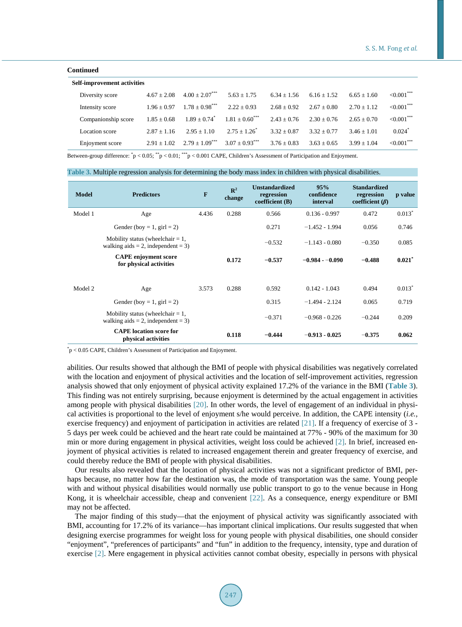#### **Continued**

| <b>Self-improvement activities</b> |               |                  |                              |               |               |               |                |  |
|------------------------------------|---------------|------------------|------------------------------|---------------|---------------|---------------|----------------|--|
| Diversity score                    | $4.67 + 2.08$ | $4.00 + 2.07***$ | $5.63 + 1.75$                | $6.34 + 1.56$ | $6.16 + 1.52$ | $6.65 + 1.60$ | ${<}0.001$ *** |  |
| Intensity score                    | $1.96 + 0.97$ | $1.78 + 0.98***$ | $2.22 + 0.93$                | $2.68 + 0.92$ | $2.67 + 0.80$ | $2.70 + 1.12$ | ${<}0.001$ *** |  |
| Companionship score                | $1.85 + 0.68$ | $1.89 \pm 0.74$  | $1.81 + 0.60$ <sup>***</sup> | $2.43 + 0.76$ | $2.30 + 0.76$ | $2.65 + 0.70$ | ${<}0.001$ *** |  |
| Location score                     | $2.87 + 1.16$ | $2.95 + 1.10$    | $2.75 + 1.26^*$              | $3.32 + 0.87$ | $3.32 + 0.77$ | $3.46 + 1.01$ | $0.024*$       |  |
| Enjoyment score                    | $2.91 + 1.02$ | $2.79 + 1.09***$ | $3.07 + 0.93***$             | $3.76 + 0.83$ | $3.63 + 0.65$ | $3.99 + 1.04$ | $< 0.001$ ***  |  |

Between-group difference:  $\check{p}$  < 0.05;  $\check{p}$  < 0.01;  $\check{f}$  = < 0.001 CAPE, Children's Assessment of Participation and Enjoyment.

<span id="page-6-0"></span>

| Table 3. Multiple regression analysis for determining the body mass index in children with physical disabilities. |  |  |  |
|-------------------------------------------------------------------------------------------------------------------|--|--|--|
|-------------------------------------------------------------------------------------------------------------------|--|--|--|

| <b>Model</b> | <b>Predictors</b>                                                               | $\mathbf{F}$ | $\mathbb{R}^2$<br>change | <b>Unstandardized</b><br>regression<br>coefficient $(B)$ | 95%<br>confidence<br>interval | <b>Standardized</b><br>regression<br>coefficient $(\beta)$ | p value   |
|--------------|---------------------------------------------------------------------------------|--------------|--------------------------|----------------------------------------------------------|-------------------------------|------------------------------------------------------------|-----------|
| Model 1      | Age                                                                             | 4.436        | 0.288                    | 0.566                                                    | $0.136 - 0.997$               | 0.472                                                      | $0.013^*$ |
|              | Gender (boy = 1, girl = 2)                                                      |              |                          | 0.271                                                    | $-1.452 - 1.994$              | 0.056                                                      | 0.746     |
|              | Mobility status (wheelchair $= 1$ ,<br>walking aids = 2, independent = 3)       |              |                          | $-0.532$                                                 | $-1.143 - 0.080$              | $-0.350$                                                   | 0.085     |
|              | <b>CAPE</b> enjoyment score<br>for physical activities                          |              | 0.172                    | $-0.537$                                                 | $-0.984 - 0.090$              | $-0.488$                                                   | 0.021     |
| Model 2      | Age                                                                             | 3.573        | 0.288                    | 0.592                                                    | $0.142 - 1.043$               | 0.494                                                      | $0.013^*$ |
|              | Gender (boy = 1, girl = 2)                                                      |              |                          | 0.315                                                    | $-1.494 - 2.124$              | 0.065                                                      | 0.719     |
|              | Mobility status (wheelchair $= 1$ ,<br>walking aids $= 2$ , independent $= 3$ ) |              |                          | $-0.371$                                                 | $-0.968 - 0.226$              | $-0.244$                                                   | 0.209     |
|              | <b>CAPE</b> location score for<br>physical activities                           |              | 0.118                    | $-0.444$                                                 | $-0.913 - 0.025$              | $-0.375$                                                   | 0.062     |

\* p < 0.05 CAPE, Children's Assessment of Participation and Enjoyment.

abilities. Our results showed that although the BMI of people with physical disabilities was negatively correlated with the location and enjoyment of physical activities and the location of self-improvement activities, regression analysis showed that only enjoyment of physical activity explained 17.2% of the variance in the BMI (**[Table 3](#page-6-0)**). This finding was not entirely surprising, because enjoyment is determined by the actual engagement in activities among people with physical disabilities [\[20\].](#page-8-6) In other words, the level of engagement of an individual in physical activities is proportional to the level of enjoyment s/he would perceive. In addition, the CAPE intensity (*i.e.*, exercise frequency) and enjoyment of participation in activities are related [\[21\].](#page-8-7) If a frequency of exercise of 3 - 5 days per week could be achieved and the heart rate could be maintained at 77% - 90% of the maximum for 30 min or more during engagement in physical activities, weight loss could be achieved [\[2\].](#page-7-1) In brief, increased enjoyment of physical activities is related to increased engagement therein and greater frequency of exercise, and could thereby reduce the BMI of people with physical disabilities.

Our results also revealed that the location of physical activities was not a significant predictor of BMI, perhaps because, no matter how far the destination was, the mode of transportation was the same. Young people with and without physical disabilities would normally use public transport to go to the venue because in Hong Kong, it is wheelchair accessible, cheap and convenient [\[22\].](#page-8-8) As a consequence, energy expenditure or BMI may not be affected.

The major finding of this study—that the enjoyment of physical activity was significantly associated with BMI, accounting for 17.2% of its variance—has important clinical implications. Our results suggested that when designing exercise programmes for weight loss for young people with physical disabilities, one should consider "enjoyment", "preferences of participants" and "fun" in addition to the frequency, intensity, type and duration of exercise [\[2\].](#page-7-1) Mere engagement in physical activities cannot combat obesity, especially in persons with physical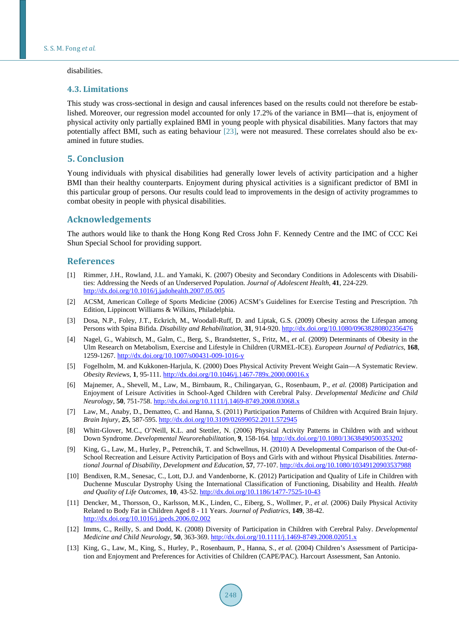#### disabilities.

#### **4.3. Limitations**

This study was cross-sectional in design and causal inferences based on the results could not therefore be established. Moreover, our regression model accounted for only 17.2% of the variance in BMI—that is, enjoyment of physical activity only partially explained BMI in young people with physical disabilities. Many factors that may potentially affect BMI, such as eating behaviour [\[23\],](#page-8-9) were not measured. These correlates should also be examined in future studies.

## **5. Conclusion**

Young individuals with physical disabilities had generally lower levels of activity participation and a higher BMI than their healthy counterparts. Enjoyment during physical activities is a significant predictor of BMI in this particular group of persons. Our results could lead to improvements in the design of activity programmes to combat obesity in people with physical disabilities.

## **Acknowledgements**

The authors would like to thank the Hong Kong Red Cross John F. Kennedy Centre and the IMC of CCC Kei Shun Special School for providing support.

#### **References**

- <span id="page-7-0"></span>[1] Rimmer, J.H., Rowland, J.L. and Yamaki, K. (2007) Obesity and Secondary Conditions in Adolescents with Disabilities: Addressing the Needs of an Underserved Population. *Journal of Adolescent Health*, **41**, 224-229. <http://dx.doi.org/10.1016/j.jadohealth.2007.05.005>
- <span id="page-7-1"></span>[2] ACSM, American College of Sports Medicine (2006) ACSM's Guidelines for Exercise Testing and Prescription. 7th Edition, Lippincott Williams & Wilkins, Philadelphia.
- <span id="page-7-2"></span>[3] Dosa, N.P., Foley, J.T., Eckrich, M., Woodall-Ruff, D. and Liptak, G.S. (2009) Obesity across the Lifespan among Persons with Spina Bifida. *Disability and Rehabilitation*, **31**, 914-920[. http://dx.doi.org/10.1080/09638280802356476](http://dx.doi.org/10.1080/09638280802356476)
- <span id="page-7-3"></span>[4] Nagel, G., Wabitsch, M., Galm, C., Berg, S., Brandstetter, S., Fritz, M., *et al.* (2009) Determinants of Obesity in the Ulm Research on Metabolism, Exercise and Lifestyle in Children (URMEL-ICE). *European Journal of Pediatrics*, **168**, 1259-1267.<http://dx.doi.org/10.1007/s00431-009-1016-y>
- <span id="page-7-4"></span>[5] Fogelholm, M. and Kukkonen-Harjula, K. (2000) Does Physical Activity Prevent Weight Gain—A Systematic Review. *Obesity Reviews*, **1**, 95-111[. http://dx.doi.org/10.1046/j.1467-789x.2000.00016.x](http://dx.doi.org/10.1046/j.1467-789x.2000.00016.x)
- <span id="page-7-5"></span>[6] Majnemer, A., Shevell, M., Law, M., Birnbaum, R., Chilingaryan, G., Rosenbaum, P., *et al.* (2008) Participation and Enjoyment of Leisure Activities in School-Aged Children with Cerebral Palsy. *Developmental Medicine and Child Neurology*, **50**, 751-758.<http://dx.doi.org/10.1111/j.1469-8749.2008.03068.x>
- <span id="page-7-6"></span>[7] Law, M., Anaby, D., Dematteo, C. and Hanna, S. (2011) Participation Patterns of Children with Acquired Brain Injury. *Brain Injury*, **25**, 587-595.<http://dx.doi.org/10.3109/02699052.2011.572945>
- <span id="page-7-7"></span>[8] Whitt-Glover, M.C., O'Neill, K.L. and Stettler, N. (2006) Physical Activity Patterns in Children with and without Down Syndrome. *Developmental Neurorehabilitation*, **9**, 158-164.<http://dx.doi.org/10.1080/13638490500353202>
- <span id="page-7-8"></span>[9] King, G., Law, M., Hurley, P., Petrenchik, T. and Schwellnus, H. (2010) A Developmental Comparison of the Out-of-School Recreation and Leisure Activity Participation of Boys and Girls with and without Physical Disabilities. *International Journal of Disability*, *Development and Education*, **57**, 77-107.<http://dx.doi.org/10.1080/10349120903537988>
- <span id="page-7-9"></span>[10] Bendixen, R.M., Senesac, C., Lott, D.J. and Vandenborne, K. (2012) Participation and Quality of Life in Children with Duchenne Muscular Dystrophy Using the International Classification of Functioning, Disability and Health. *Health and Quality of Life Outcomes*, **10**, 43-52[. http://dx.doi.org/10.1186/1477-7525-10-43](http://dx.doi.org/10.1186/1477-7525-10-43)
- <span id="page-7-10"></span>[11] Dencker, M., Thorsson, O., Karlsson, M.K., Linden, C., Eiberg, S., Wollmer, P., *et al.* (2006) Daily Physical Activity Related to Body Fat in Children Aged 8 - 11 Years. *Journal of Pediatrics*, **149**, 38-42. <http://dx.doi.org/10.1016/j.jpeds.2006.02.002>
- <span id="page-7-11"></span>[12] Imms, C., Reilly, S. and Dodd, K. (2008) Diversity of Participation in Children with Cerebral Palsy. *Developmental Medicine and Child Neurology*, **50**, 363-369. <http://dx.doi.org/10.1111/j.1469-8749.2008.02051.x>
- <span id="page-7-12"></span>[13] King, G., Law, M., King, S., Hurley, P., Rosenbaum, P., Hanna, S., *et al.* (2004) Children's Assessment of Participation and Enjoyment and Preferences for Activities of Children (CAPE/PAC). Harcourt Assessment, San Antonio.